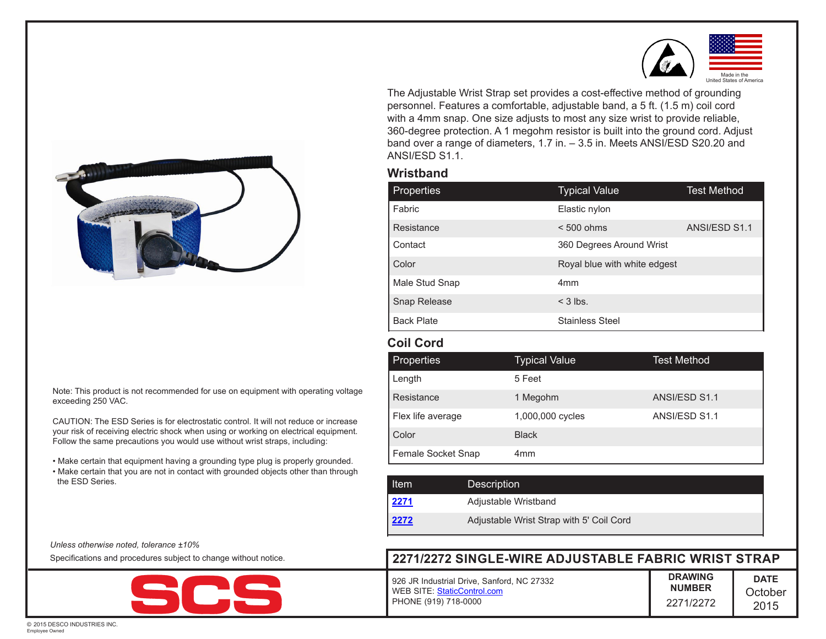

The Adjustable Wrist Strap set provides a cost-effective method of grounding personnel. Features a comfortable, adjustable band, a 5 ft. (1.5 m) coil cord with a 4mm snap. One size adjusts to most any size wrist to provide reliable, 360-degree protection. A 1 megohm resistor is built into the ground cord. Adjust band over a range of diameters, 1.7 in. – 3.5 in. Meets ANSI/ESD S20.20 and ANSI/ESD S1.1.

## **Wristband**

| <b>Properties</b> | <b>Typical Value</b>         | <b>Test Method</b> |
|-------------------|------------------------------|--------------------|
| Fabric            | Elastic nylon                |                    |
| Resistance        | $< 500$ ohms                 | ANSI/ESD S1.1      |
| Contact           | 360 Degrees Around Wrist     |                    |
| Color             | Royal blue with white edgest |                    |
| Male Stud Snap    | 4 <sub>mm</sub>              |                    |
| Snap Release      | $<$ 3 lbs.                   |                    |
| <b>Back Plate</b> | <b>Stainless Steel</b>       |                    |

## **Coil Cord**

| <b>Properties</b>  | Typical Value    | <b>Test Method</b> |
|--------------------|------------------|--------------------|
| Length             | 5 Feet           |                    |
| Resistance         | 1 Megohm         | ANSI/ESD S1.1      |
| Flex life average  | 1,000,000 cycles | ANSI/ESD S1.1      |
| Color              | <b>Black</b>     |                    |
| Female Socket Snap | 4 <sub>mm</sub>  |                    |

| <b>Item</b> | <b>Description</b>                       |
|-------------|------------------------------------------|
| 2271        | Adjustable Wristband                     |
| 2272        | Adjustable Wrist Strap with 5' Coil Cord |

## **DRAWING NUMBER** 2271/2272 **DATE October** 2015 **2271/2272 SINGLE-WIRE ADJUSTABLE FABRIC WRIST STRAP** 926 JR Industrial Drive, Sanford, NC 27332 WEB SITE: [StaticControl.com](http://staticcontrol.descoindustries.com/) PHONE (919) 718-0000



Note: This product is not recommended for use on equipment with operating voltage exceeding 250 VAC.

CAUTION: The ESD Series is for electrostatic control. It will not reduce or increase your risk of receiving electric shock when using or working on electrical equipment. Follow the same precautions you would use without wrist straps, including:

- Make certain that equipment having a grounding type plug is properly grounded.
- Make certain that you are not in contact with grounded objects other than through the ESD Series.

*Unless otherwise noted, tolerance ±10%*

Specifications and procedures subject to change without notice.



© 2015 DESCO INDUSTRIES INC. Employee Owned